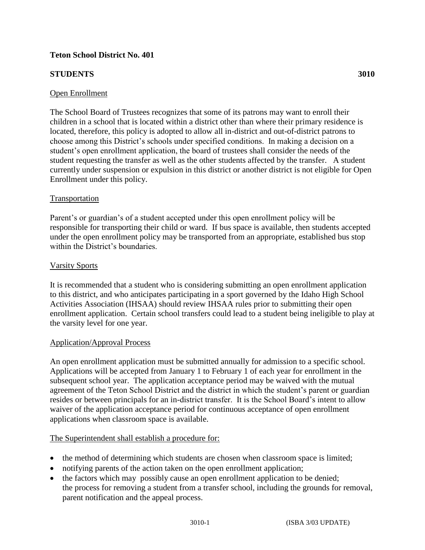# **Teton School District No. 401**

# **STUDENTS** 3010

The School Board of Trustees recognizes that some of its patrons may want to enroll their children in a school that is located within a district other than where their primary residence is located, therefore, this policy is adopted to allow all in-district and out-of-district patrons to choose among this District's schools under specified conditions. In making a decision on a student's open enrollment application, the board of trustees shall consider the needs of the student requesting the transfer as well as the other students affected by the transfer. A student currently under suspension or expulsion in this district or another district is not eligible for Open Enrollment under this policy.

## Transportation

Parent's or guardian's of a student accepted under this open enrollment policy will be responsible for transporting their child or ward. If bus space is available, then students accepted under the open enrollment policy may be transported from an appropriate, established bus stop within the District's boundaries.

## Varsity Sports

It is recommended that a student who is considering submitting an open enrollment application to this district, and who anticipates participating in a sport governed by the Idaho High School Activities Association (IHSAA) should review IHSAA rules prior to submitting their open enrollment application. Certain school transfers could lead to a student being ineligible to play at the varsity level for one year.

### Application/Approval Process

An open enrollment application must be submitted annually for admission to a specific school. Applications will be accepted from January 1 to February 1 of each year for enrollment in the subsequent school year. The application acceptance period may be waived with the mutual agreement of the Teton School District and the district in which the student's parent or guardian resides or between principals for an in-district transfer. It is the School Board's intent to allow waiver of the application acceptance period for continuous acceptance of open enrollment applications when classroom space is available.

### The Superintendent shall establish a procedure for:

- the method of determining which students are chosen when classroom space is limited;
- notifying parents of the action taken on the open enrollment application;
- the factors which may possibly cause an open enrollment application to be denied; the process for removing a student from a transfer school, including the grounds for removal, parent notification and the appeal process.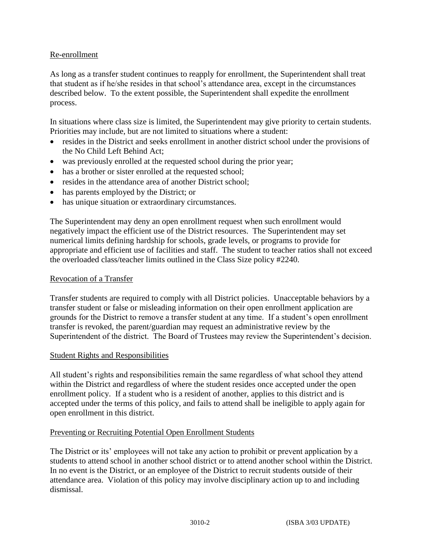## Re-enrollment

As long as a transfer student continues to reapply for enrollment, the Superintendent shall treat that student as if he/she resides in that school's attendance area, except in the circumstances described below. To the extent possible, the Superintendent shall expedite the enrollment process.

In situations where class size is limited, the Superintendent may give priority to certain students. Priorities may include, but are not limited to situations where a student:

- resides in the District and seeks enrollment in another district school under the provisions of the No Child Left Behind Act;
- was previously enrolled at the requested school during the prior year;
- has a brother or sister enrolled at the requested school;
- resides in the attendance area of another District school:
- has parents employed by the District; or
- has unique situation or extraordinary circumstances.

The Superintendent may deny an open enrollment request when such enrollment would negatively impact the efficient use of the District resources. The Superintendent may set numerical limits defining hardship for schools, grade levels, or programs to provide for appropriate and efficient use of facilities and staff. The student to teacher ratios shall not exceed the overloaded class/teacher limits outlined in the Class Size policy #2240.

#### Revocation of a Transfer

Transfer students are required to comply with all District policies. Unacceptable behaviors by a transfer student or false or misleading information on their open enrollment application are grounds for the District to remove a transfer student at any time. If a student's open enrollment transfer is revoked, the parent/guardian may request an administrative review by the Superintendent of the district. The Board of Trustees may review the Superintendent's decision.

### Student Rights and Responsibilities

All student's rights and responsibilities remain the same regardless of what school they attend within the District and regardless of where the student resides once accepted under the open enrollment policy. If a student who is a resident of another, applies to this district and is accepted under the terms of this policy, and fails to attend shall be ineligible to apply again for open enrollment in this district.

### Preventing or Recruiting Potential Open Enrollment Students

The District or its' employees will not take any action to prohibit or prevent application by a students to attend school in another school district or to attend another school within the District. In no event is the District, or an employee of the District to recruit students outside of their attendance area. Violation of this policy may involve disciplinary action up to and including dismissal.